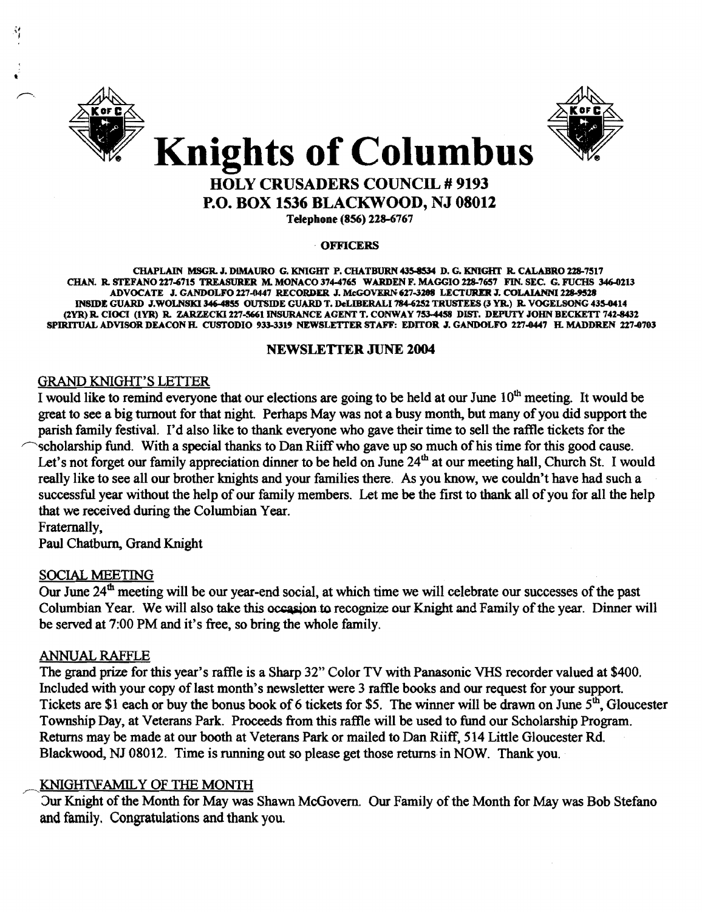



### HOLY CRUSADERS COUNCIL # 9193 P.O. BOX 1536 BLACKWOOD, NJ 08012

Telephone (856) 228-6767

#### **OFFICERS**

CHAPLAIN MSGR.J. DIMAURO G. KNIGHT P. CHATBURN 435-8534 D. G. KNIGHT R. CALABRO 2%8-7517 CHAN. R. STEFANO 227-6715 TREASURER M. MONACO 374-4765 WARDEN F. MAGGIO 228-7657 FIN. SEC. G. FUCHS 346-0213 ADVOCATE J. GANDOLFO 227-0447 RECORDER J. McGOVERN 627-3208 LECTURER J. COLAIANNI 228-9528 INSIDE GUARD .I.WOLNSXl346-4855 OUTSIDE GUARD T. DeLIBERALI 784-6152 TRUSTEES (3 YR.) R. VOGELSONG 435-0414 (2YR) R. CIOCI (IYR) R. ZARZECKl227..sti61INSURANCE AGENT T. CONWAY 7534458 DIST. DEPUTY JOHN BECKETT 742-8432 SPIRITUALADVISORDEACONH. CUSTODIO 933-3319 NEWSLETTER STAFF: EDITOR .I. GANDOLFO 227-0447 H.MADDREN 227-0703

#### NEWSLETTER JUNE 2004

#### GRAND KNIGHT'S LETTER

I would like to remind everyone that our elections are going to be held at our June  $10<sup>th</sup>$  meeting. It would be great to see a big turnout for that night. Perhaps May was not a busy month, but many of you did support the parish family festival. I'd also like to thank everyone who gave their time to sell the raffle tickets for the ~cholarship fund. With a special thanks to Dan Riiff who gave up so much ofhis time for this good cause. Let's not forget our family appreciation dinner to be held on June  $24<sup>th</sup>$  at our meeting hall, Church St. I would really like to see all our brother knights and your families there. As you know, we couldn't have had such a successful year without the help of our family members. Let me be the first to thank all of you for all the help that we received during the Columbian Year.

Fraternally,

Paul Chatburn, Grand Knight

#### SOCIAL MEETING

Our June 24<sup>th</sup> meeting will be our year-end social, at which time we will celebrate our successes of the past Columbian Year. We will also take this occasion to recognize our Knight and Family of the year. Dinner will be served at 7:00 PM and it's free, so bring the whole family.

#### ANNUAL RAFFLE

The grand prize for this year's raffle is a Sharp 32" Color TV with Panasonic VHS recorder valued at \$400. Included with your copy of last month's newsletter were 3 raffle books and our request for your support. Tickets are \$1 each or buy the bonus book of 6 tickets for \$5. The winner will be drawn on June  $5<sup>th</sup>$ , Gloucester Township Day, at Veterans Park. Proceeds from this raffle will be used to fund our Scholarship Program. Returns may be made at our booth at Veterans Park or mailed to Dan Riiff, 514 Little Gloucester Rd Blackwood, NJ 08012. Time is running out so please get those returns in NOW. Thank you.

#### KNIGHT\FAMILY OF THE MONTH

Jur Knight of the Month for May was Shawn McGovern. Our Family of the Month for May was Bob Stefano and family. Congratulations and thank you.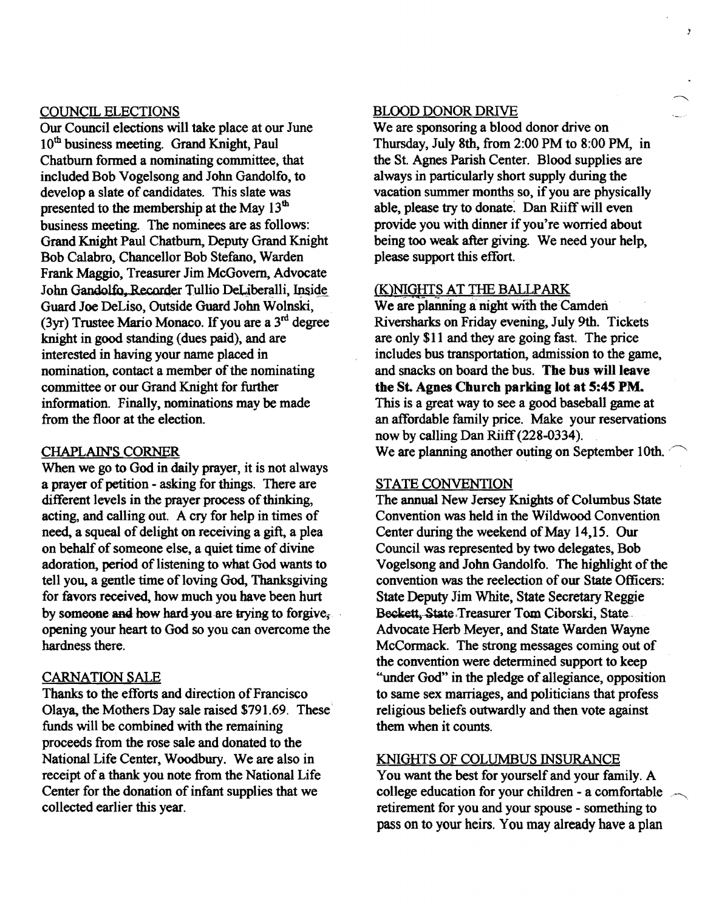#### COUNCIL ELECTIONS

Our Council elections will take place at our June 10<sup>th</sup> business meeting. Grand Knight, Paul Chatburn fonned a nominating committee, that included Bob Vogelsong and John Gandolfo, to develop a slate of candidates. This slate was presented to the membership at the May 13<sup>th</sup> business meeting. The nominees are as follows: Grand Knight Paul Chatbum, Deputy Grand Knight Bob Calabro, Chancellor Bob Stefano, Warden Frank Maggio, Treasurer Jim McGovern, Advocate John Gandolfo, Recorder Tullio DeLiberalli, Inside Guard Joe DeLiso, Outside Guard John Wolnski, ( $3yr$ ) Trustee Mario Monaco. If you are a  $3<sup>rd</sup>$  degree knight in good standing (dues paid), and are interested in having your name placed in nomination, contact a member of the nominating committee or our Grand Knight for further information. Finally, nominations may be made from the floor at the election.

#### CHAPLAIN'S CORNER

When we go to God in daily prayer, it is not always a prayer of petition - asking for things. There are different levels in the prayer process of thinking, acting, and calling out. A cry for help in times of need, a squeal of delight on receiving a gift, a plea on behalf of someone else, a quiet time of divine adoration, period of listening to what God wants to tell you, a gentle time of loving God, Thanksgiving for favors received, how much you have been hurt by someone and how hard you are trying to forgive, opening your heart to God so you can overcome the hardness there.

#### CARNATION SALE

Thanks to the efforts and direction of Francisco Olaya, the Mothers Day sale raised \$791.69. These· funds will be combined with the remaining proceeds from the rose sale and donated to the National Life Center, Woodbury. We are also in receipt of a thank you note from the National Life Center for the donation of infant supplies that we collected earlier this year.

#### BLOOD DONOR DRIVE

We are sponsoring a blood donor drive on Thursday, July 8th, from 2:00 PM to 8:00 PM, in the St. Agnes Parish Center. Blood supplies are always in particularly short supply during the vacation summer months so, if you are physically able, please try to donate: Dan Riiff will even provide you with dinner if you're worried about being too weak after giving. We need your help. please support this effort.

 $\lambda$ 

#### (K)NIGHTS AT THE BALLPARK

We are planning a night with the Camden Riversharks on Friday evening. July 9th. Tickets are only \$11 and they are going fast. The price includes bus transportation, admission to the game, and snacks on board the bus. The bus will leave the St. Agnes Church parking lot at 5:45 PM. This is a great way to see a good baseball game at an affordable family price. Make your reservations now by calling Dan Riiff(228-0334). We are planning another outing on September 10th.

#### STATE CONVENTION

The annual New Jersey Knights of Columbus State Convention was held in the Wildwood Convention Center during the weekend of May 14,15. Our Council was represented by two delegates, Bob Vogelsong and John Gandolfo. The highlight of the convention was the reelection of our State Officers: State Deputy Jim White, State Secretary Reggie Beckett, State Treasurer Tom Ciborski, State. Advocate Herb Meyer, and State Warden Wayne McCormack. The strong messages coming out of the convention were determined support to keep "under God" in the pledge of allegiance, opposition to same sex marriages, and politicians that profess religious beliefs outwardly and then vote against them when it counts.

#### KNIGHTS OF COLUMBUS INSURANCE

You want the best for yourself and your family. A college education for your children - a comfortable  $\sim$ retirement for you and your spouse - something to pass on to your heirs. You may already have a plan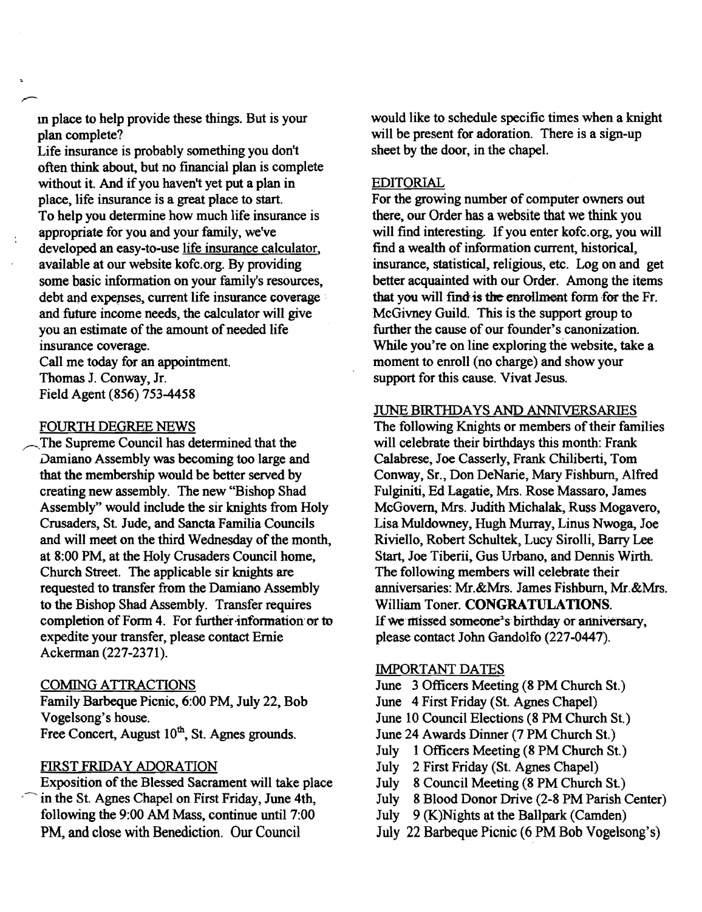m place to help provide these things. But is your plan complete?

Life insurance is probably something you don't often think about, but no financial plan is complete without it. And if you haven't yet put a plan in place, life insurance is a great place to start. To help you determine how much life insurance is appropriate for you and your family, we've developed an easy·to-use life insurance calculator, available at our website kofc.org. By providing some basic information on your family's resources, debt and expenses, current life insurance coverage and future income needs, the calculator will give you an estimate of the amount of needed life insurance coverage.

Call me today for an appointment. Thomas J. Conway, Jr. Field Agent (856) 753-4458

#### FOURTH DEGREE NEWS

The Supreme Council has determined that the Damiano Assembly was becoming too large and that the membership would be better served by creating new assembly. The new "Bishop Shad Assembly" would include the sir knights from Holy Crusaders, St. Jude, and Sancta Familia Councils and will meet on the third Wednesday of the month, at 8:00 PM, at the Holy Crusaders Council home, Church Street. The applicable sir knights are requested to transfer from the Damiano Assembly to the Bishop Shad Assembly. Transfer requires completion of Form 4. For further·information'or to expedite your transfer, please contact Ernie Ackerman (227·2371).

#### COMING ATTRACTIONS

Family Barbeque Picnic, 6:00 PM, July 22, Bob Vogelsong's house. Free Concert, August 10<sup>th</sup>, St. Agnes grounds.

#### FIRST FRIDAY ADORATION

Exposition of the Blessed Sacrament will take place in the St. Agnes Chapel on First Friday, June 4th, following the 9:00 AM Mass, continue until 7:00 PM, and close with Benediction. Our Council

would like to schedule specific times when a knight will be present for adoration. There is a sign-up sheet by the door, in the chapel.

#### EDITORIAL

For the growing number of computer owners out there, our Order has a website that we think you will find interesting. If you enter kofc.org, you will find a wealth of information current, historical, insurance, statistical, religious, etc. Log on and get better acquainted with our Order. Among the items that you will find is the enrollment form for the Fr. McGivney Guild. This is the support group to further the cause of our founder's canonization. While you're on line exploring the website, take a moment to enroll (no charge) and show your support for this cause. Vivat Jesus.

#### JUNE BIRTHDAYS AND ANNIVERSARIES

The following Knights or members of their families will celebrate their birthdays this month: Frank Calabrese, Joe Casserly, Frank Chiliberti, Tom Conway, Sr., Don DeNarie, Mary Fishburn, Alfred Fulginiti, Ed Lagatie, Mrs. Rose Massaro, James McGovern, Mrs. Judith Michalak, Russ Mogavero, Lisa Muldowney, Hugh Murray, Linus Nwoga, Joe Riviello, Robert Schultek, Lucy Sirolli, Barry Lee Start, Joe Tiberii, Gus Urbano, and Dennis Wirth. The following members will celebrate their anniversaries: Mr.&Mrs. James Fishburn, Mr,&Mrs. William Toner. CONGRATULATIONS. If we missed someone's birthday or anniversary, please contact John Gandolfo (227-0447).

#### IMPORTANT DATES

June 3 Officers Meeting (8 PM Church St.)

June 4 First Friday (St. Agnes Chapel)

June 10 Council Elections (8 PM Church St.)

- June 24 Awards Dinner (7 PM Church St.)
- July 1 Officers Meeting (8 PM Church St.)
- July 2 First Friday (St. Agnes Chapel)
- July 8 Council Meeting (8 PM Church St.)
- July 8 Blood Donor Drive (2·8 PM Parish Center)
- July 9 (K)Nights at the Ballpark (Camden)
- July 22 Barbeque Picnic (6 PM Bob Vogelsong's)